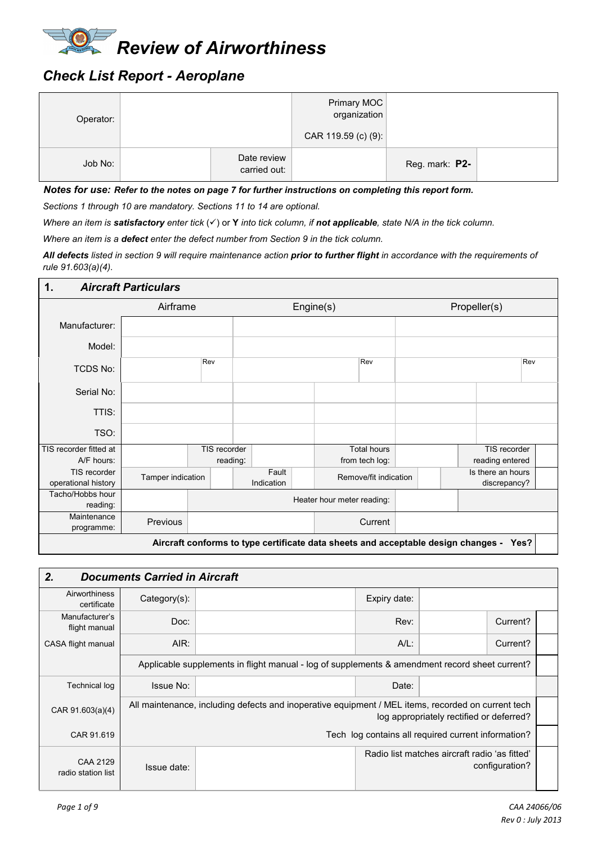

# *Check List Report - Aeroplane*

| Operator: |                             | Primary MOC<br>organization<br>CAR 119.59 (c) (9): |                |  |
|-----------|-----------------------------|----------------------------------------------------|----------------|--|
| Job No:   | Date review<br>carried out: |                                                    | Reg. mark: P2- |  |

*Notes for use: Refer to the notes on page 7 for further instructions on completing this report form.*

*Sections 1 through 10 are mandatory. Sections 11 to 14 are optional.*

*Where an item is satisfactory enter tick* ( $\checkmark$ ) or **Y** *into tick column, if not applicable, state N/A in the tick column.* 

*Where an item is a defect enter the defect number from Section 9 in the tick column.* 

*All defects listed in section 9 will require maintenance action prior to further flight in accordance with the requirements of rule 91.603(a)(4).* 

| $\mathbf 1$ .                       | <b>Aircraft Particulars</b> |              |                     |                                                                                   |  |  |                                   |
|-------------------------------------|-----------------------------|--------------|---------------------|-----------------------------------------------------------------------------------|--|--|-----------------------------------|
|                                     | Airframe                    |              | Engine(s)           | Propeller(s)                                                                      |  |  |                                   |
| Manufacturer:                       |                             |              |                     |                                                                                   |  |  |                                   |
| Model:                              |                             |              |                     |                                                                                   |  |  |                                   |
| <b>TCDS No:</b>                     |                             | Rev          |                     | Rev                                                                               |  |  | Rev                               |
| Serial No:                          |                             |              |                     |                                                                                   |  |  |                                   |
| TTIS:                               |                             |              |                     |                                                                                   |  |  |                                   |
| TSO:                                |                             |              |                     |                                                                                   |  |  |                                   |
| TIS recorder fitted at              |                             | TIS recorder |                     | <b>Total hours</b>                                                                |  |  | TIS recorder                      |
| A/F hours:                          |                             | reading:     |                     | from tech log:                                                                    |  |  | reading entered                   |
| TIS recorder<br>operational history | Tamper indication           |              | Fault<br>Indication | Remove/fit indication                                                             |  |  | Is there an hours<br>discrepancy? |
| Tacho/Hobbs hour<br>reading:        |                             |              |                     | Heater hour meter reading:                                                        |  |  |                                   |
| Maintenance<br>programme:           | Previous                    |              |                     | Current                                                                           |  |  |                                   |
|                                     |                             |              |                     | Aircraft conforms to type certificate data sheets and acceptable design changes - |  |  | Yes?                              |

| 2.                              | <b>Documents Carried in Aircraft</b> |                                                                                                    |                                                                 |                                                     |          |  |  |  |  |  |
|---------------------------------|--------------------------------------|----------------------------------------------------------------------------------------------------|-----------------------------------------------------------------|-----------------------------------------------------|----------|--|--|--|--|--|
| Airworthiness<br>certificate    | Category(s):                         |                                                                                                    | Expiry date:                                                    |                                                     |          |  |  |  |  |  |
| Manufacturer's<br>flight manual | Doc:                                 |                                                                                                    | Rev:                                                            |                                                     | Current? |  |  |  |  |  |
| CASA flight manual              | AIR:                                 |                                                                                                    | $A/L$ :                                                         | Current?                                            |          |  |  |  |  |  |
|                                 |                                      | Applicable supplements in flight manual - log of supplements & amendment record sheet current?     |                                                                 |                                                     |          |  |  |  |  |  |
| <b>Technical log</b>            | <b>Issue No:</b>                     |                                                                                                    | Date:                                                           |                                                     |          |  |  |  |  |  |
| CAR $91.603(a)(4)$              |                                      | All maintenance, including defects and inoperative equipment / MEL items, recorded on current tech |                                                                 | log appropriately rectified or deferred?            |          |  |  |  |  |  |
| CAR 91.619                      |                                      |                                                                                                    |                                                                 | Tech log contains all required current information? |          |  |  |  |  |  |
| CAA 2129<br>radio station list  | Issue date:                          |                                                                                                    | Radio list matches aircraft radio 'as fitted'<br>configuration? |                                                     |          |  |  |  |  |  |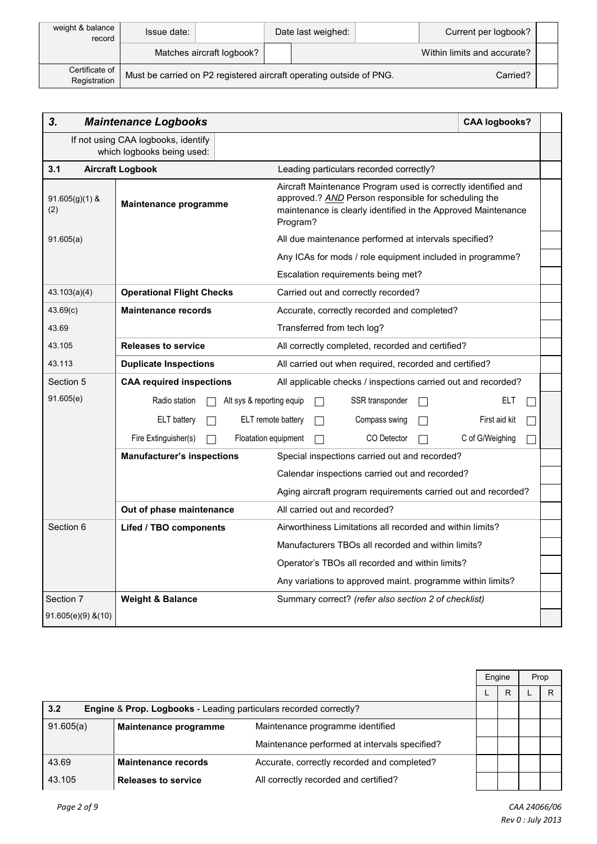| weight & balance<br>record     | Date last weighed:<br>Issue date:                                   |                           | Current per logbook? |                             |  |
|--------------------------------|---------------------------------------------------------------------|---------------------------|----------------------|-----------------------------|--|
|                                |                                                                     | Matches aircraft logbook? |                      | Within limits and accurate? |  |
| Certificate of<br>Registration | Must be carried on P2 registered aircraft operating outside of PNG. |                           |                      | Carried?                    |  |

| 3.                      | <b>Maintenance Logbooks</b>                                       |                                                                                                                                                                                                    | <b>CAA logbooks?</b> |  |  |  |
|-------------------------|-------------------------------------------------------------------|----------------------------------------------------------------------------------------------------------------------------------------------------------------------------------------------------|----------------------|--|--|--|
|                         | If not using CAA logbooks, identify<br>which logbooks being used: |                                                                                                                                                                                                    |                      |  |  |  |
| 3.1                     | <b>Aircraft Logbook</b>                                           | Leading particulars recorded correctly?                                                                                                                                                            |                      |  |  |  |
| $91.605(g)(1)$ &<br>(2) | Maintenance programme                                             | Aircraft Maintenance Program used is correctly identified and<br>approved.? AND Person responsible for scheduling the<br>maintenance is clearly identified in the Approved Maintenance<br>Program? |                      |  |  |  |
| 91.605(a)               |                                                                   | All due maintenance performed at intervals specified?                                                                                                                                              |                      |  |  |  |
|                         |                                                                   | Any ICAs for mods / role equipment included in programme?                                                                                                                                          |                      |  |  |  |
|                         |                                                                   | Escalation requirements being met?                                                                                                                                                                 |                      |  |  |  |
| 43.103(a)(4)            | <b>Operational Flight Checks</b>                                  | Carried out and correctly recorded?                                                                                                                                                                |                      |  |  |  |
| 43.69(c)                | <b>Maintenance records</b>                                        | Accurate, correctly recorded and completed?                                                                                                                                                        |                      |  |  |  |
| 43.69                   |                                                                   | Transferred from tech log?                                                                                                                                                                         |                      |  |  |  |
| 43.105                  | <b>Releases to service</b>                                        | All correctly completed, recorded and certified?                                                                                                                                                   |                      |  |  |  |
| 43.113                  | <b>Duplicate Inspections</b>                                      | All carried out when required, recorded and certified?                                                                                                                                             |                      |  |  |  |
| Section 5               | <b>CAA required inspections</b>                                   | All applicable checks / inspections carried out and recorded?                                                                                                                                      |                      |  |  |  |
| 91.605(e)               | Radio station<br>Alt sys & reporting equip                        | SSR transponder<br>П                                                                                                                                                                               | ELT                  |  |  |  |
|                         | <b>ELT</b> battery                                                | ELT remote battery<br>Compass swing                                                                                                                                                                | First aid kit        |  |  |  |
|                         | Fire Extinguisher(s)<br>Floatation equipment                      | CO Detector                                                                                                                                                                                        | C of G/Weighing      |  |  |  |
|                         | <b>Manufacturer's inspections</b>                                 | Special inspections carried out and recorded?                                                                                                                                                      |                      |  |  |  |
|                         |                                                                   | Calendar inspections carried out and recorded?                                                                                                                                                     |                      |  |  |  |
|                         |                                                                   | Aging aircraft program requirements carried out and recorded?                                                                                                                                      |                      |  |  |  |
|                         | Out of phase maintenance                                          | All carried out and recorded?                                                                                                                                                                      |                      |  |  |  |
| Section 6               | <b>Lifed / TBO components</b>                                     | Airworthiness Limitations all recorded and within limits?                                                                                                                                          |                      |  |  |  |
|                         |                                                                   | Manufacturers TBOs all recorded and within limits?                                                                                                                                                 |                      |  |  |  |
|                         |                                                                   | Operator's TBOs all recorded and within limits?                                                                                                                                                    |                      |  |  |  |
|                         |                                                                   | Any variations to approved maint. programme within limits?                                                                                                                                         |                      |  |  |  |
| Section 7               | <b>Weight &amp; Balance</b>                                       | Summary correct? (refer also section 2 of checklist)                                                                                                                                               |                      |  |  |  |
| $91.605(e)(9)$ & (10)   |                                                                   |                                                                                                                                                                                                    |                      |  |  |  |

|                                                                                     |                            |                                               | Engine | Prop |
|-------------------------------------------------------------------------------------|----------------------------|-----------------------------------------------|--------|------|
|                                                                                     |                            |                                               | R      | R    |
| 3.2<br><b>Engine &amp; Prop. Logbooks</b> - Leading particulars recorded correctly? |                            |                                               |        |      |
| 91.605(a)<br>Maintenance programme                                                  |                            | Maintenance programme identified              |        |      |
|                                                                                     |                            | Maintenance performed at intervals specified? |        |      |
| 43.69                                                                               | Maintenance records        | Accurate, correctly recorded and completed?   |        |      |
| 43.105                                                                              | <b>Releases to service</b> | All correctly recorded and certified?         |        |      |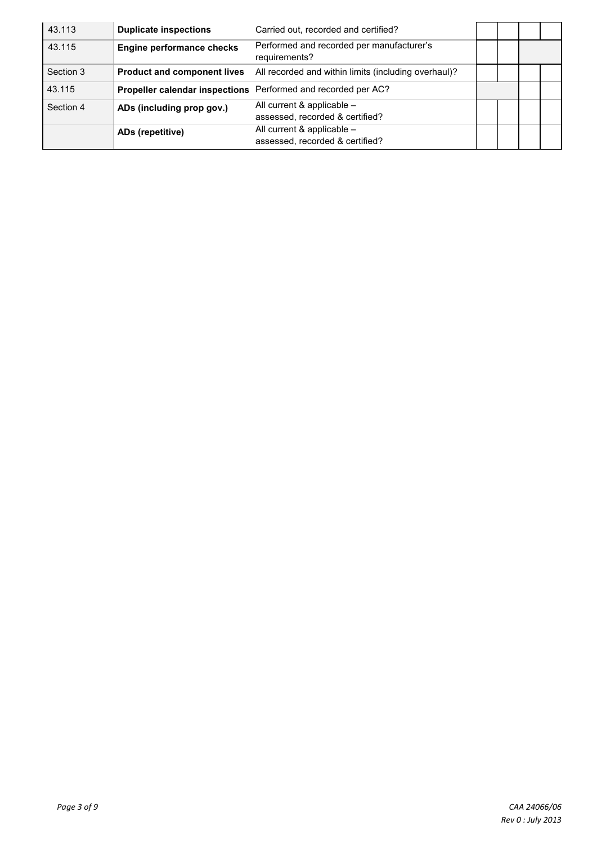| 43.113    | <b>Duplicate inspections</b>       | Carried out, recorded and certified?                              |  |  |
|-----------|------------------------------------|-------------------------------------------------------------------|--|--|
| 43.115    | <b>Engine performance checks</b>   | Performed and recorded per manufacturer's<br>requirements?        |  |  |
| Section 3 | <b>Product and component lives</b> | All recorded and within limits (including overhaul)?              |  |  |
| 43.115    |                                    | Propeller calendar inspections Performed and recorded per AC?     |  |  |
| Section 4 | ADs (including prop gov.)          | All current $&$ applicable $-$<br>assessed, recorded & certified? |  |  |
|           | ADs (repetitive)                   | All current & applicable -<br>assessed, recorded & certified?     |  |  |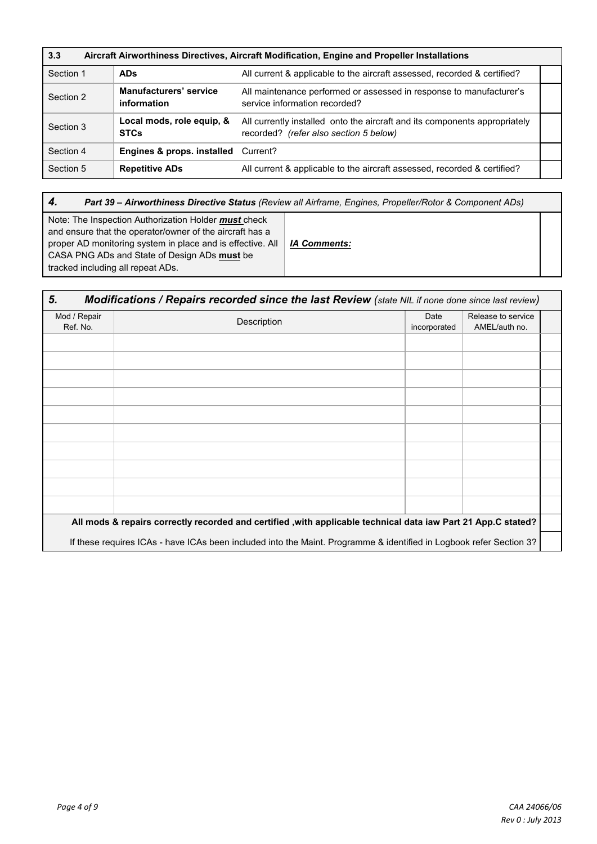| 3.3<br>Aircraft Airworthiness Directives, Aircraft Modification, Engine and Propeller Installations |                                                |                                                                                                                      |  |  |  |  |  |  |
|-----------------------------------------------------------------------------------------------------|------------------------------------------------|----------------------------------------------------------------------------------------------------------------------|--|--|--|--|--|--|
| Section 1                                                                                           | <b>ADs</b>                                     | All current & applicable to the aircraft assessed, recorded & certified?                                             |  |  |  |  |  |  |
| Section 2                                                                                           | <b>Manufacturers' service</b><br>information   | All maintenance performed or assessed in response to manufacturer's<br>service information recorded?                 |  |  |  |  |  |  |
| Section 3                                                                                           | Local mods, role equip, &<br><b>STCs</b>       | All currently installed onto the aircraft and its components appropriately<br>recorded? (refer also section 5 below) |  |  |  |  |  |  |
| Section 4                                                                                           | <b>Engines &amp; props. installed</b> Current? |                                                                                                                      |  |  |  |  |  |  |
| Section 5                                                                                           | <b>Repetitive ADs</b>                          | All current & applicable to the aircraft assessed, recorded & certified?                                             |  |  |  |  |  |  |

*4. Part 39 – Airworthiness Directive Status (Review all Airframe, Engines, Propeller/Rotor & Component ADs)*

| Note: The Inspection Authorization Holder must check       |                     |
|------------------------------------------------------------|---------------------|
| and ensure that the operator/owner of the aircraft has a   |                     |
| proper AD monitoring system in place and is effective. All | <b>IA Comments:</b> |
| CASA PNG ADs and State of Design ADs must be               |                     |
| tracked including all repeat ADs.                          |                     |

| 5.                       | <b>Modifications / Repairs recorded since the last Review (state NIL if none done since last review)</b>            |                      |                                     |  |
|--------------------------|---------------------------------------------------------------------------------------------------------------------|----------------------|-------------------------------------|--|
| Mod / Repair<br>Ref. No. | Description                                                                                                         | Date<br>incorporated | Release to service<br>AMEL/auth no. |  |
|                          |                                                                                                                     |                      |                                     |  |
|                          |                                                                                                                     |                      |                                     |  |
|                          |                                                                                                                     |                      |                                     |  |
|                          |                                                                                                                     |                      |                                     |  |
|                          |                                                                                                                     |                      |                                     |  |
|                          |                                                                                                                     |                      |                                     |  |
|                          |                                                                                                                     |                      |                                     |  |
|                          |                                                                                                                     |                      |                                     |  |
|                          |                                                                                                                     |                      |                                     |  |
|                          |                                                                                                                     |                      |                                     |  |
|                          | All mods & repairs correctly recorded and certified ,with applicable technical data iaw Part 21 App.C stated?       |                      |                                     |  |
|                          | If these requires ICAs - have ICAs been included into the Maint. Programme & identified in Logbook refer Section 3? |                      |                                     |  |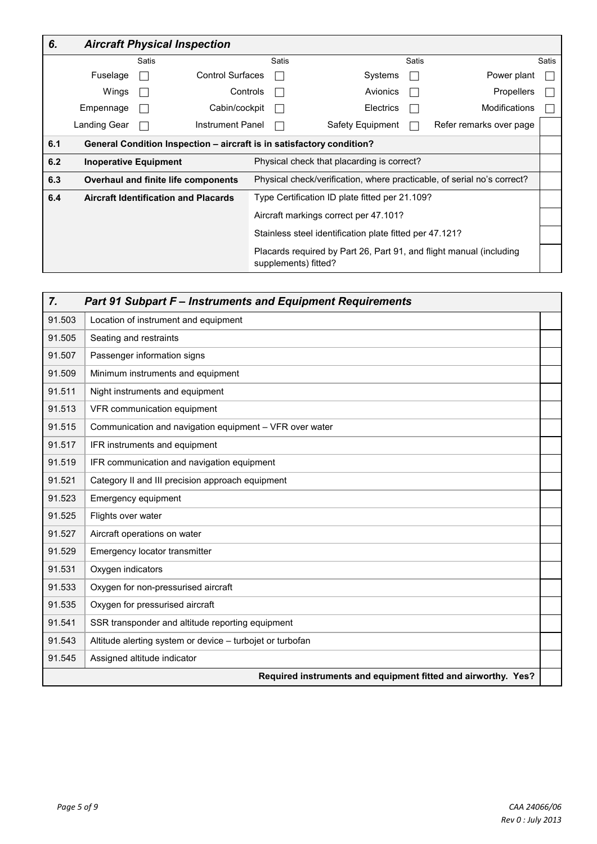| 6.  |                              |       | <b>Aircraft Physical Inspection</b>                                   |                                                         |                                                                                             |       |                         |       |
|-----|------------------------------|-------|-----------------------------------------------------------------------|---------------------------------------------------------|---------------------------------------------------------------------------------------------|-------|-------------------------|-------|
|     |                              | Satis |                                                                       | Satis                                                   |                                                                                             | Satis |                         | Satis |
|     | Fuselage                     |       | <b>Control Surfaces</b>                                               |                                                         | Systems                                                                                     |       | Power plant             |       |
|     | Wings                        |       | Controls                                                              |                                                         | Avionics                                                                                    |       | <b>Propellers</b>       |       |
|     | Empennage                    |       | Cabin/cockpit                                                         |                                                         | Electrics                                                                                   |       | Modifications           |       |
|     | Landing Gear                 |       | Instrument Panel                                                      |                                                         | Safety Equipment                                                                            |       | Refer remarks over page |       |
| 6.1 |                              |       | General Condition Inspection - aircraft is in satisfactory condition? |                                                         |                                                                                             |       |                         |       |
| 6.2 | <b>Inoperative Equipment</b> |       |                                                                       |                                                         | Physical check that placarding is correct?                                                  |       |                         |       |
| 6.3 |                              |       | Overhaul and finite life components                                   |                                                         | Physical check/verification, where practicable, of serial no's correct?                     |       |                         |       |
| 6.4 |                              |       | <b>Aircraft Identification and Placards</b>                           | Type Certification ID plate fitted per 21.109?          |                                                                                             |       |                         |       |
|     |                              |       |                                                                       | Aircraft markings correct per 47.101?                   |                                                                                             |       |                         |       |
|     |                              |       |                                                                       | Stainless steel identification plate fitted per 47.121? |                                                                                             |       |                         |       |
|     |                              |       |                                                                       |                                                         | Placards required by Part 26, Part 91, and flight manual (including<br>supplements) fitted? |       |                         |       |

| $\overline{7}$ .<br><b>Part 91 Subpart F-Instruments and Equipment Requirements</b> |                                                               |  |  |  |  |  |  |
|-------------------------------------------------------------------------------------|---------------------------------------------------------------|--|--|--|--|--|--|
| 91.503                                                                              | Location of instrument and equipment                          |  |  |  |  |  |  |
| 91.505                                                                              | Seating and restraints                                        |  |  |  |  |  |  |
| 91.507                                                                              | Passenger information signs                                   |  |  |  |  |  |  |
| 91.509                                                                              | Minimum instruments and equipment                             |  |  |  |  |  |  |
| 91.511                                                                              | Night instruments and equipment                               |  |  |  |  |  |  |
| 91.513                                                                              | VFR communication equipment                                   |  |  |  |  |  |  |
| 91.515                                                                              | Communication and navigation equipment - VFR over water       |  |  |  |  |  |  |
| 91.517                                                                              | IFR instruments and equipment                                 |  |  |  |  |  |  |
| 91.519                                                                              | IFR communication and navigation equipment                    |  |  |  |  |  |  |
| 91.521                                                                              | Category II and III precision approach equipment              |  |  |  |  |  |  |
| 91.523                                                                              | Emergency equipment                                           |  |  |  |  |  |  |
| 91.525                                                                              | Flights over water                                            |  |  |  |  |  |  |
| 91.527                                                                              | Aircraft operations on water                                  |  |  |  |  |  |  |
| 91.529                                                                              | Emergency locator transmitter                                 |  |  |  |  |  |  |
| 91.531                                                                              | Oxygen indicators                                             |  |  |  |  |  |  |
| 91.533                                                                              | Oxygen for non-pressurised aircraft                           |  |  |  |  |  |  |
| 91.535                                                                              | Oxygen for pressurised aircraft                               |  |  |  |  |  |  |
| 91.541                                                                              | SSR transponder and altitude reporting equipment              |  |  |  |  |  |  |
| 91.543                                                                              | Altitude alerting system or device - turbojet or turbofan     |  |  |  |  |  |  |
| 91.545                                                                              | Assigned altitude indicator                                   |  |  |  |  |  |  |
|                                                                                     | Required instruments and equipment fitted and airworthy. Yes? |  |  |  |  |  |  |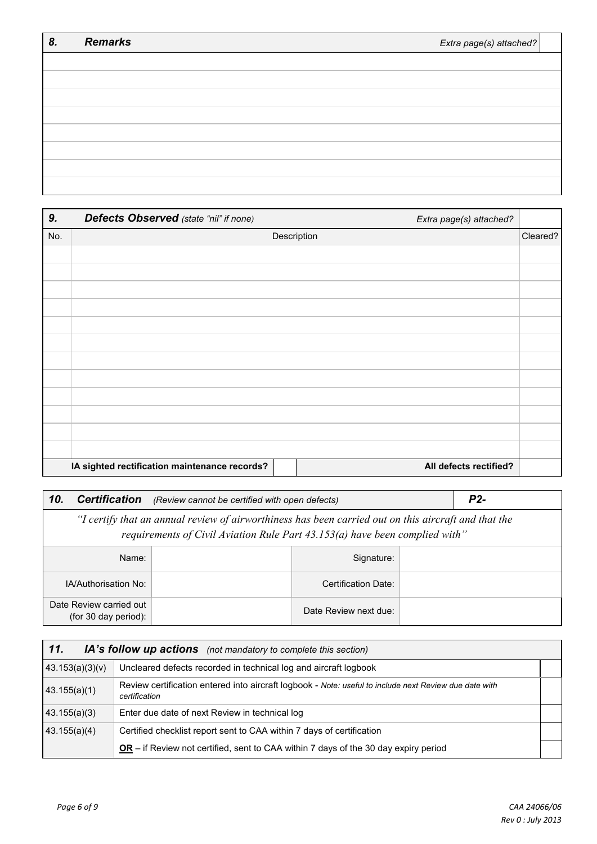| 8. | <b>Remarks</b> | Extra page(s) attached? |
|----|----------------|-------------------------|
|    |                |                         |
|    |                |                         |
|    |                |                         |
|    |                |                         |
|    |                |                         |
|    |                |                         |
|    |                |                         |
|    |                |                         |

| 9.  | Defects Observed (state "nil" if none)        |             | Extra page(s) attached? |          |
|-----|-----------------------------------------------|-------------|-------------------------|----------|
| No. |                                               | Description |                         | Cleared? |
|     |                                               |             |                         |          |
|     |                                               |             |                         |          |
|     |                                               |             |                         |          |
|     |                                               |             |                         |          |
|     |                                               |             |                         |          |
|     |                                               |             |                         |          |
|     |                                               |             |                         |          |
|     |                                               |             |                         |          |
|     |                                               |             |                         |          |
|     |                                               |             |                         |          |
|     |                                               |             |                         |          |
|     |                                               |             |                         |          |
|     | IA sighted rectification maintenance records? |             | All defects rectified?  |          |

| 10.<br><b>Certification</b><br>(Review cannot be certified with open defects)                                                                                                         | P <sub>2</sub> - |                       |  |  |  |
|---------------------------------------------------------------------------------------------------------------------------------------------------------------------------------------|------------------|-----------------------|--|--|--|
| "I certify that an annual review of airworthiness has been carried out on this aircraft and that the<br>requirements of Civil Aviation Rule Part $43.153(a)$ have been complied with" |                  |                       |  |  |  |
| Name:                                                                                                                                                                                 |                  |                       |  |  |  |
| IA/Authorisation No:                                                                                                                                                                  |                  | Certification Date:   |  |  |  |
| Date Review carried out<br>(for 30 day period):                                                                                                                                       |                  | Date Review next due: |  |  |  |

| 11.<br>IA's follow up actions (not mandatory to complete this section) |                                                                                                                         |  |  |  |  |
|------------------------------------------------------------------------|-------------------------------------------------------------------------------------------------------------------------|--|--|--|--|
| 43.153(a)(3)(v)                                                        | Uncleared defects recorded in technical log and aircraft logbook                                                        |  |  |  |  |
| 43.155(a)(1)                                                           | Review certification entered into aircraft logbook - Note: useful to include next Review due date with<br>certification |  |  |  |  |
| (43.155(a)(3))                                                         | Enter due date of next Review in technical log                                                                          |  |  |  |  |
| 43.155(a)(4)                                                           | Certified checklist report sent to CAA within 7 days of certification                                                   |  |  |  |  |
|                                                                        | $OR -$ if Review not certified, sent to CAA within 7 days of the 30 day expiry period                                   |  |  |  |  |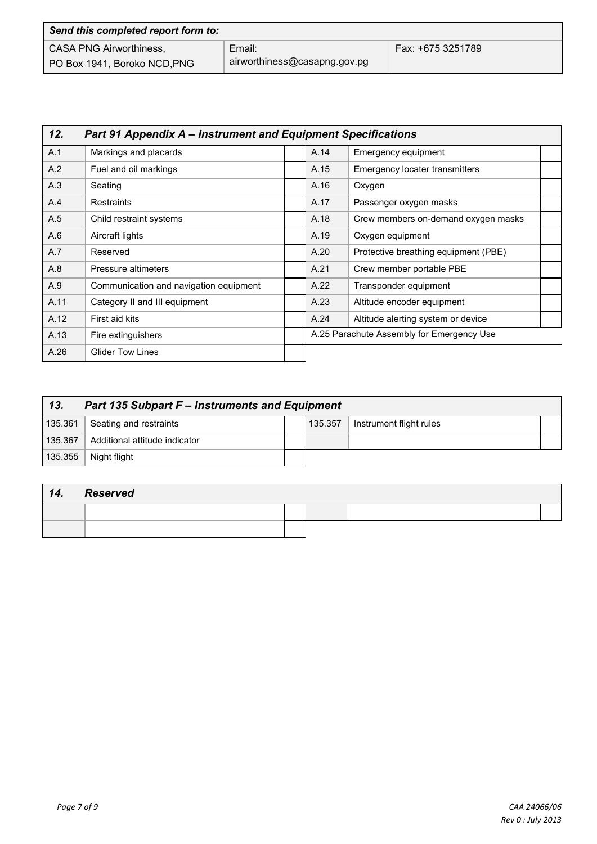| Send this completed report form to: |                              |                   |  |  |  |  |
|-------------------------------------|------------------------------|-------------------|--|--|--|--|
| <b>CASA PNG Airworthiness,</b>      | Email:                       | Fax: +675 3251789 |  |  |  |  |
| PO Box 1941, Boroko NCD, PNG        | airworthiness@casapng.gov.pg |                   |  |  |  |  |

| 12.  | <b>Part 91 Appendix A – Instrument and Equipment Specifications</b> |  |                                           |                                      |  |  |
|------|---------------------------------------------------------------------|--|-------------------------------------------|--------------------------------------|--|--|
| A.1  | Markings and placards                                               |  | A.14                                      | Emergency equipment                  |  |  |
| A.2  | Fuel and oil markings                                               |  | A.15                                      | Emergency locater transmitters       |  |  |
| A.3  | Seating                                                             |  | A.16                                      | Oxygen                               |  |  |
| A.4  | <b>Restraints</b>                                                   |  | A.17                                      | Passenger oxygen masks               |  |  |
| A.5  | Child restraint systems                                             |  | A.18                                      | Crew members on-demand oxygen masks  |  |  |
| A.6  | Aircraft lights                                                     |  | A.19                                      | Oxygen equipment                     |  |  |
| A.7  | Reserved                                                            |  | A.20                                      | Protective breathing equipment (PBE) |  |  |
| A.8  | Pressure altimeters                                                 |  | A.21                                      | Crew member portable PBE             |  |  |
| A.9  | Communication and navigation equipment                              |  | A.22                                      | Transponder equipment                |  |  |
| A.11 | Category II and III equipment                                       |  | A.23                                      | Altitude encoder equipment           |  |  |
| A.12 | First aid kits                                                      |  | A.24                                      | Altitude alerting system or device   |  |  |
| A.13 | Fire extinguishers                                                  |  | A.25 Parachute Assembly for Emergency Use |                                      |  |  |
| A.26 | <b>Glider Tow Lines</b>                                             |  |                                           |                                      |  |  |

| 13.<br><b>Part 135 Subpart F - Instruments and Equipment</b> |                               |  |         |                         |  |
|--------------------------------------------------------------|-------------------------------|--|---------|-------------------------|--|
| 135.361                                                      | Seating and restraints        |  | 135.357 | Instrument flight rules |  |
| 135.367                                                      | Additional attitude indicator |  |         |                         |  |
| 135.355                                                      | Night flight                  |  |         |                         |  |

| 14. | Reserved |  |  |
|-----|----------|--|--|
|     |          |  |  |
|     |          |  |  |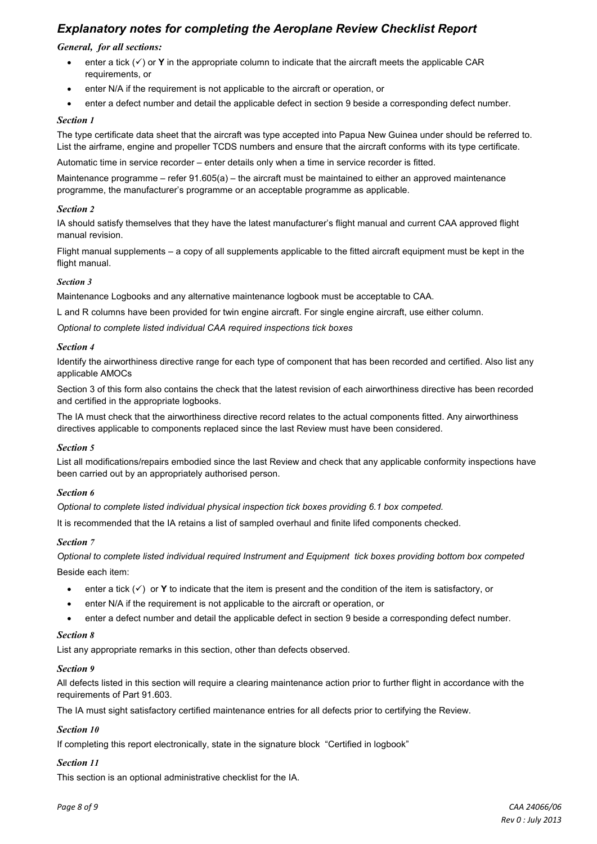## *Explanatory notes for completing the Aeroplane Review Checklist Report*

#### *General, for all sections:*

- enter a tick  $(v)$  or **Y** in the appropriate column to indicate that the aircraft meets the applicable CAR requirements, or
- enter N/A if the requirement is not applicable to the aircraft or operation, or
- enter a defect number and detail the applicable defect in section 9 beside a corresponding defect number.

#### *Section 1*

The type certificate data sheet that the aircraft was type accepted into Papua New Guinea under should be referred to. List the airframe, engine and propeller TCDS numbers and ensure that the aircraft conforms with its type certificate.

Automatic time in service recorder – enter details only when a time in service recorder is fitted.

Maintenance programme – refer 91.605(a) – the aircraft must be maintained to either an approved maintenance programme, the manufacturer's programme or an acceptable programme as applicable.

#### *Section 2*

IA should satisfy themselves that they have the latest manufacturer's flight manual and current CAA approved flight manual revision.

Flight manual supplements – a copy of all supplements applicable to the fitted aircraft equipment must be kept in the flight manual.

#### *Section 3*

Maintenance Logbooks and any alternative maintenance logbook must be acceptable to CAA.

L and R columns have been provided for twin engine aircraft. For single engine aircraft, use either column.

*Optional to complete listed individual CAA required inspections tick boxes* 

#### *Section 4*

Identify the airworthiness directive range for each type of component that has been recorded and certified. Also list any applicable AMOCs

Section 3 of this form also contains the check that the latest revision of each airworthiness directive has been recorded and certified in the appropriate logbooks.

The IA must check that the airworthiness directive record relates to the actual components fitted. Any airworthiness directives applicable to components replaced since the last Review must have been considered.

#### *Section 5*

List all modifications/repairs embodied since the last Review and check that any applicable conformity inspections have been carried out by an appropriately authorised person.

#### *Section 6*

*Optional to complete listed individual physical inspection tick boxes providing 6.1 box competed.*

It is recommended that the IA retains a list of sampled overhaul and finite lifed components checked.

#### *Section 7*

*Optional to complete listed individual required Instrument and Equipment tick boxes providing bottom box competed* Beside each item:

- enter a tick  $(v)$  or **Y** to indicate that the item is present and the condition of the item is satisfactory, or
- enter N/A if the requirement is not applicable to the aircraft or operation, or
- enter a defect number and detail the applicable defect in section 9 beside a corresponding defect number.

#### *Section 8*

List any appropriate remarks in this section, other than defects observed.

#### *Section 9*

All defects listed in this section will require a clearing maintenance action prior to further flight in accordance with the requirements of Part 91.603.

The IA must sight satisfactory certified maintenance entries for all defects prior to certifying the Review.

## *Section 10*

If completing this report electronically, state in the signature block "Certified in logbook"

## *Section 11*

This section is an optional administrative checklist for the IA.